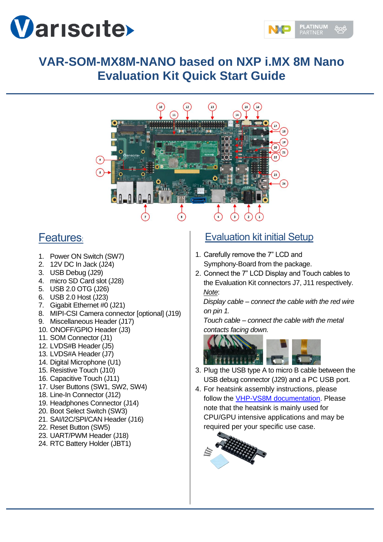



# **VAR-SOM-MX8M-NANO based on NXP i.MX 8M Nano Evaluation Kit Quick Start Guide**



## Features:

- 1. Power ON Switch (SW7)
- 2. 12V DC In Jack (J24)
- 3. USB Debug (J29)
- 4. micro SD Card slot (J28)
- 5. USB 2.0 OTG (J26)
- 6. USB 2.0 Host (J23)
- 7. Gigabit Ethernet #0 (J21)
- 8. MIPI-CSI Camera connector [optional] (J19)
- 9. Miscellaneous Header (J17)
- 10. ONOFF/GPIO Header (J3)
- 11. SOM Connector (J1)
- 12. LVDS#B Header (J5)
- 13. LVDS#A Header (J7)
- 14. Digital Microphone (U1)
- 15. Resistive Touch (J10)
- 16. Capacitive Touch (J11)
- 17. User Buttons (SW1, SW2, SW4)
- 18. Line-In Connector (J12)
- 19. Headphones Connector (J14)
- 20. Boot Select Switch (SW3)
- 21. SAI/I2C/SPI/CAN Header (J16)
- 22. Reset Button (SW5)
- 23. UART/PWM Header (J18)
- 24. RTC Battery Holder (JBT1)

## Evaluation kit initial Setup

- 1. Carefully remove the 7" LCD and Symphony-Board from the package.
- 2. Connect the 7" LCD Display and Touch cables to the Evaluation Kit connectors J7, J11 respectively. *Note*:

*Display cable – connect the cable with the red wire on pin 1.*

*Touch cable – connect the cable with the metal contacts facing down.*



- 3. Plug the USB type A to micro B cable between the USB debug connector (J29) and a PC USB port.
- 4. For heatsink assembly instructions, please follow the [VHP-VS8M documentation.](https://www.variscite.com/wp-content/uploads/2021/05/VHP-VS8M_Datasheet.pdf) Please note that the heatsink is mainly used for CPU/GPU intensive applications and may be required per your specific use case.